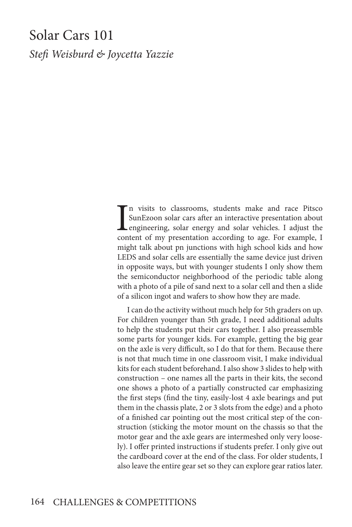# Solar Cars 101

*Stefi Weisburd & Joycetta Yazzie*

I<sub>con</sub> n visits to classrooms, students make and race Pitsco SunEzoon solar cars after an interactive presentation about engineering, solar energy and solar vehicles. I adjust the content of my presentation according to age. For example, I might talk about pn junctions with high school kids and how LEDS and solar cells are essentially the same device just driven in opposite ways, but with younger students I only show them the semiconductor neighborhood of the periodic table along with a photo of a pile of sand next to a solar cell and then a slide of a silicon ingot and wafers to show how they are made.

I can do the activity without much help for 5th graders on up. For children younger than 5th grade, I need additional adults to help the students put their cars together. I also preassemble some parts for younger kids. For example, getting the big gear on the axle is very difficult, so I do that for them. Because there is not that much time in one classroom visit, I make individual kits for each student beforehand. I also show 3 slides to help with construction – one names all the parts in their kits, the second one shows a photo of a partially constructed car emphasizing the first steps (find the tiny, easily-lost 4 axle bearings and put them in the chassis plate, 2 or 3 slots from the edge) and a photo of a finished car pointing out the most critical step of the construction (sticking the motor mount on the chassis so that the motor gear and the axle gears are intermeshed only very loosely). I offer printed instructions if students prefer. I only give out the cardboard cover at the end of the class. For older students, I also leave the entire gear set so they can explore gear ratios later.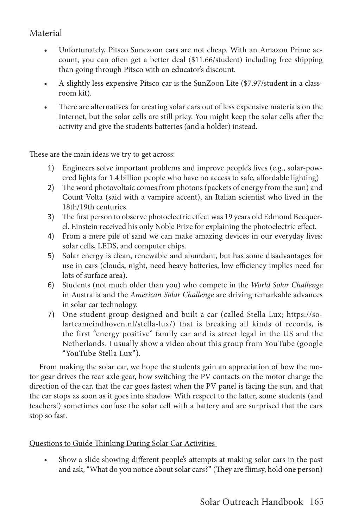## Material

- Unfortunately, Pitsco Sunezoon cars are not cheap. With an Amazon Prime account, you can often get a better deal (\$11.66/student) including free shipping than going through Pitsco with an educator's discount.
- A slightly less expensive Pitsco car is the SunZoon Lite (\$7.97/student in a classroom kit).
- There are alternatives for creating solar cars out of less expensive materials on the Internet, but the solar cells are still pricy. You might keep the solar cells after the activity and give the students batteries (and a holder) instead.

These are the main ideas we try to get across:

- 1) Engineers solve important problems and improve people's lives (e.g., solar-powered lights for 1.4 billion people who have no access to safe, affordable lighting)
- 2) The word photovoltaic comes from photons (packets of energy from the sun) and Count Volta (said with a vampire accent), an Italian scientist who lived in the 18th/19th centuries.
- 3) The first person to observe photoelectric effect was 19 years old Edmond Becquerel. Einstein received his only Noble Prize for explaining the photoelectric effect.
- 4) From a mere pile of sand we can make amazing devices in our everyday lives: solar cells, LEDS, and computer chips.
- 5) Solar energy is clean, renewable and abundant, but has some disadvantages for use in cars (clouds, night, need heavy batteries, low efficiency implies need for lots of surface area).
- 6) Students (not much older than you) who compete in the *World Solar Challenge*  in Australia and the *American Solar Challenge* are driving remarkable advances in solar car technology.
- 7) One student group designed and built a car (called Stella Lux; https://solarteameindhoven.nl/stella-lux/) that is breaking all kinds of records, is the first "energy positive" family car and is street legal in the US and the Netherlands. I usually show a video about this group from YouTube (google "YouTube Stella Lux").

From making the solar car, we hope the students gain an appreciation of how the motor gear drives the rear axle gear, how switching the PV contacts on the motor change the direction of the car, that the car goes fastest when the PV panel is facing the sun, and that the car stops as soon as it goes into shadow. With respect to the latter, some students (and teachers!) sometimes confuse the solar cell with a battery and are surprised that the cars stop so fast.

Questions to Guide Thinking During Solar Car Activities

• Show a slide showing different people's attempts at making solar cars in the past and ask, "What do you notice about solar cars?" (They are flimsy, hold one person)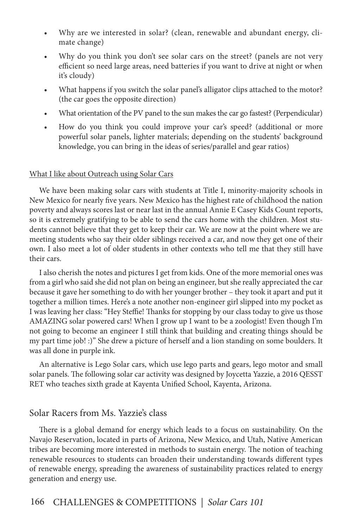- Why are we interested in solar? (clean, renewable and abundant energy, climate change)
- Why do you think you don't see solar cars on the street? (panels are not very efficient so need large areas, need batteries if you want to drive at night or when it's cloudy)
- What happens if you switch the solar panel's alligator clips attached to the motor? (the car goes the opposite direction)
- What orientation of the PV panel to the sun makes the car go fastest? (Perpendicular)
- How do you think you could improve your car's speed? (additional or more powerful solar panels, lighter materials; depending on the students' background knowledge, you can bring in the ideas of series/parallel and gear ratios)

#### What I like about Outreach using Solar Cars

We have been making solar cars with students at Title I, minority-majority schools in New Mexico for nearly five years. New Mexico has the highest rate of childhood the nation poverty and always scores last or near last in the annual Annie E Casey Kids Count reports, so it is extremely gratifying to be able to send the cars home with the children. Most students cannot believe that they get to keep their car. We are now at the point where we are meeting students who say their older siblings received a car, and now they get one of their own. I also meet a lot of older students in other contexts who tell me that they still have their cars.

I also cherish the notes and pictures I get from kids. One of the more memorial ones was from a girl who said she did not plan on being an engineer, but she really appreciated the car because it gave her something to do with her younger brother – they took it apart and put it together a million times. Here's a note another non-engineer girl slipped into my pocket as I was leaving her class: "Hey Steffie! Thanks for stopping by our class today to give us those AMAZING solar powered cars! When I grow up I want to be a zoologist! Even though I'm not going to become an engineer I still think that building and creating things should be my part time job! :)" She drew a picture of herself and a lion standing on some boulders. It was all done in purple ink.

An alternative is Lego Solar cars, which use lego parts and gears, lego motor and small solar panels. The following solar car activity was designed by Joycetta Yazzie, a 2016 QESST RET who teaches sixth grade at Kayenta Unified School, Kayenta, Arizona.

### Solar Racers from Ms. Yazzie's class

There is a global demand for energy which leads to a focus on sustainability. On the Navajo Reservation, located in parts of Arizona, New Mexico, and Utah, Native American tribes are becoming more interested in methods to sustain energy. The notion of teaching renewable resources to students can broaden their understanding towards different types of renewable energy, spreading the awareness of sustainability practices related to energy generation and energy use.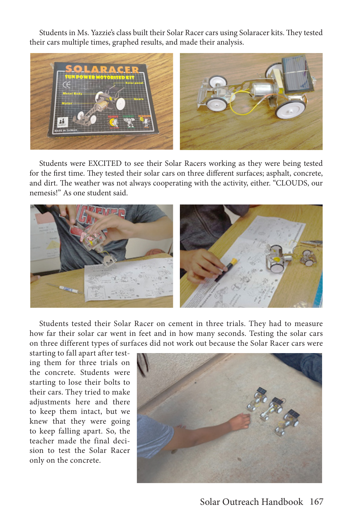Students in Ms. Yazzie's class built their Solar Racer cars using Solaracer kits. They tested their cars multiple times, graphed results, and made their analysis.



Students were EXCITED to see their Solar Racers working as they were being tested for the first time. They tested their solar cars on three different surfaces; asphalt, concrete, and dirt. The weather was not always cooperating with the activity, either. "CLOUDS, our nemesis!" As one student said.



Students tested their Solar Racer on cement in three trials. They had to measure how far their solar car went in feet and in how many seconds. Testing the solar cars on three different types of surfaces did not work out because the Solar Racer cars were

starting to fall apart after testing them for three trials on the concrete. Students were starting to lose their bolts to their cars. They tried to make adjustments here and there to keep them intact, but we knew that they were going to keep falling apart. So, the teacher made the final decision to test the Solar Racer only on the concrete.